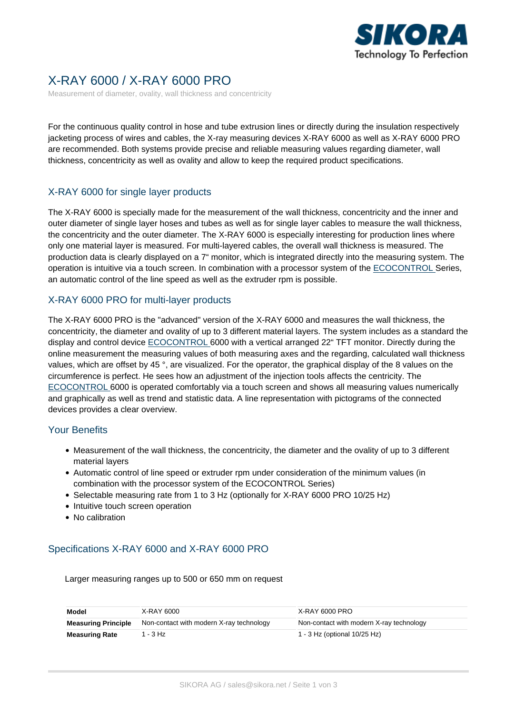

# X-RAY 6000 / X-RAY 6000 PRO

Measurement of diameter, ovality, wall thickness and concentricity

For the continuous quality control in hose and tube extrusion lines or directly during the insulation respectively jacketing process of wires and cables, the X-ray measuring devices X-RAY 6000 as well as X-RAY 6000 PRO are recommended. Both systems provide precise and reliable measuring values regarding diameter, wall thickness, concentricity as well as ovality and allow to keep the required product specifications.

# X-RAY 6000 for single layer products

The X-RAY 6000 is specially made for the measurement of the wall thickness, concentricity and the inner and outer diameter of single layer hoses and tubes as well as for single layer cables to measure the wall thickness, the concentricity and the outer diameter. The X-RAY 6000 is especially interesting for production lines where only one material layer is measured. For multi-layered cables, the overall wall thickness is measured. The production data is clearly displayed on a 7" monitor, which is integrated directly into the measuring system. The operation is intuitive via a touch screen. In combination with a processor system of the [ECOCONTROL S](https://sikora.net/en/products/ecocontrol-series/)eries, an automatic control of the line speed as well as the extruder rpm is possible.

#### X-RAY 6000 PRO for multi-layer products

The X-RAY 6000 PRO is the "advanced" version of the X-RAY 6000 and measures the wall thickness, the concentricity, the diameter and ovality of up to 3 different material layers. The system includes as a standard the display and control device [ECOCONTROL 6](https://sikora.net/en/products/ecocontrol-series/)000 with a vertical arranged 22" TFT monitor. Directly during the online measurement the measuring values of both measuring axes and the regarding, calculated wall thickness values, which are offset by 45 °, are visualized. For the operator, the graphical display of the 8 values on the circumference is perfect. He sees how an adjustment of the injection tools affects the centricity. The [ECOCONTROL](https://sikora.net/en/products/ecocontrol-series/) 6000 is operated comfortably via a touch screen and shows all measuring values numerically and graphically as well as trend and statistic data. A line representation with pictograms of the connected devices provides a clear overview.

#### Your Benefits

- Measurement of the wall thickness, the concentricity, the diameter and the ovality of up to 3 different material layers
- Automatic control of line speed or extruder rpm under consideration of the minimum values (in combination with the processor system of the ECOCONTROL Series)
- Selectable measuring rate from 1 to 3 Hz (optionally for X-RAY 6000 PRO 10/25 Hz)
- Intuitive touch screen operation
- No calibration

# Specifications X-RAY 6000 and X-RAY 6000 PRO

Larger measuring ranges up to 500 or 650 mm on request

| Model                      | X-RAY 6000                               | X-RAY 6000 PRO                           |
|----------------------------|------------------------------------------|------------------------------------------|
| <b>Measuring Principle</b> | Non-contact with modern X-ray technology | Non-contact with modern X-ray technology |
| <b>Measuring Rate</b>      | 1 - 3 Hz                                 | 1 - 3 Hz (optional 10/25 Hz)             |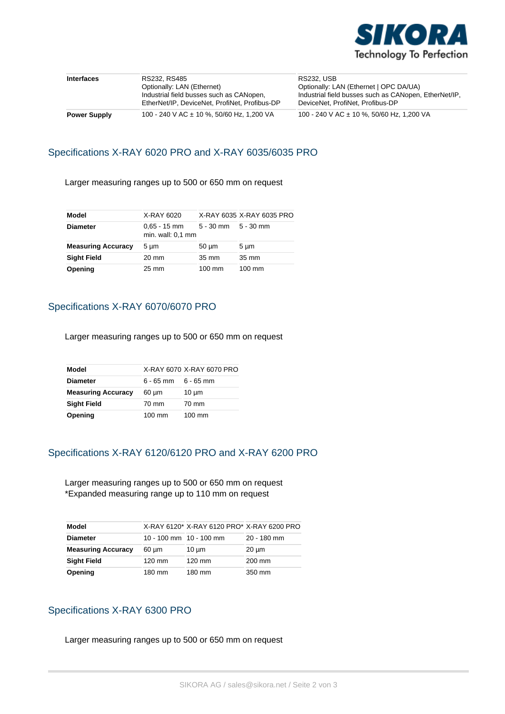

| <b>Interfaces</b>   | RS232, RS485                                                                              | <b>RS232. USB</b>                                                                         |
|---------------------|-------------------------------------------------------------------------------------------|-------------------------------------------------------------------------------------------|
|                     | Optionally: LAN (Ethernet)                                                                | Optionally: LAN (Ethernet   OPC DA/UA)                                                    |
|                     | Industrial field busses such as CANopen,<br>EtherNet/IP, DeviceNet, ProfiNet, Profibus-DP | Industrial field busses such as CANopen, EtherNet/IP,<br>DeviceNet, ProfiNet, Profibus-DP |
| <b>Power Supply</b> | 100 - 240 V AC ± 10 %, 50/60 Hz, 1,200 VA                                                 | 100 - 240 V AC ± 10 %, 50/60 Hz, 1,200 VA                                                 |

#### Specifications X-RAY 6020 PRO and X-RAY 6035/6035 PRO

Larger measuring ranges up to 500 or 650 mm on request

| Model                     | X-RAY 6020                            |                     | X-RAY 6035 X-RAY 6035 PRO |
|---------------------------|---------------------------------------|---------------------|---------------------------|
| <b>Diameter</b>           | $0.65 - 15$ mm<br>min. wall: $0.1$ mm | 5 - 30 mm 5 - 30 mm |                           |
| <b>Measuring Accuracy</b> | 5 um                                  | $50 \mu m$          | $5 \mu m$                 |
| <b>Sight Field</b>        | 20 mm                                 | 35 mm               | 35 mm                     |
| Opening                   | $25 \text{ mm}$                       | 100 mm              | $100 \text{ mm}$          |

# Specifications X-RAY 6070/6070 PRO

Larger measuring ranges up to 500 or 650 mm on request

| Model                     |                         | X-RAY 6070 X-RAY 6070 PRO |
|---------------------------|-------------------------|---------------------------|
| Diameter                  | $6 - 65$ mm $6 - 65$ mm |                           |
| <b>Measuring Accuracy</b> | $60 \mu m$              | $10 \mu m$                |
| Sight Field               | 70 mm                   | 70 mm                     |
| Opening                   | 100 mm                  | $100 \text{ mm}$          |

# Specifications X-RAY 6120/6120 PRO and X-RAY 6200 PRO

Larger measuring ranges up to 500 or 650 mm on request \*Expanded measuring range up to 110 mm on request

| Model                     |            | X-RAY 6120* X-RAY 6120 PRO* X-RAY 6200 PRO |               |
|---------------------------|------------|--------------------------------------------|---------------|
| <b>Diameter</b>           |            | 10 - 100 mm $10 - 100$ mm                  | $20 - 180$ mm |
| <b>Measuring Accuracy</b> | $60 \mu m$ | $10 \mu m$                                 | $20 \mu m$    |
| <b>Sight Field</b>        | 120 mm     | 120 mm                                     | 200 mm        |
| <b>Opening</b>            | 180 mm     | 180 mm                                     | 350 mm        |

# Specifications X-RAY 6300 PRO

Larger measuring ranges up to 500 or 650 mm on request